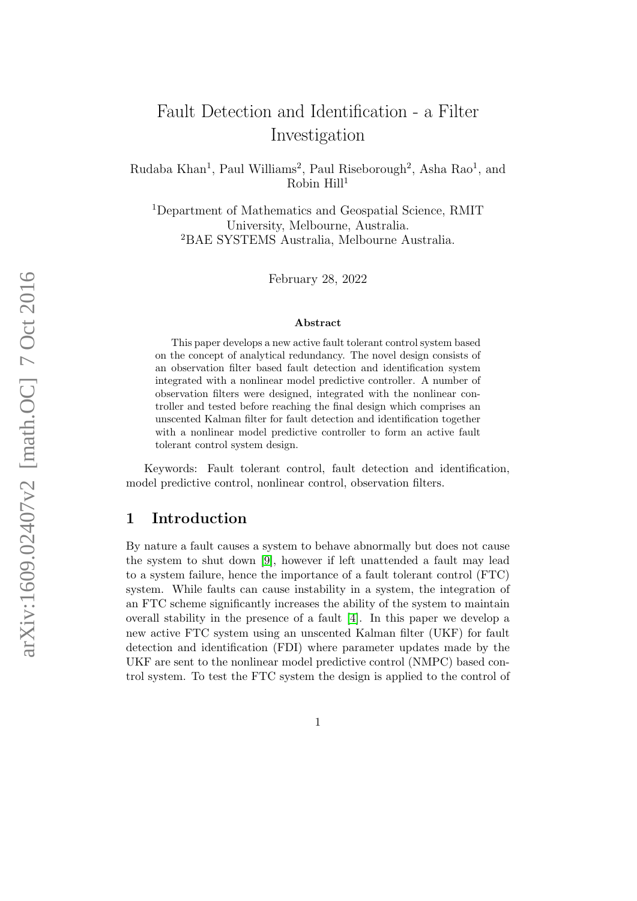# Fault Detection and Identification - a Filter Investigation

Rudaba Khan<sup>1</sup>, Paul Williams<sup>2</sup>, Paul Riseborough<sup>2</sup>, Asha Rao<sup>1</sup>, and  $Robin Hill<sup>1</sup>$ 

<sup>1</sup>Department of Mathematics and Geospatial Science, RMIT University, Melbourne, Australia. <sup>2</sup>BAE SYSTEMS Australia, Melbourne Australia.

February 28, 2022

#### Abstract

This paper develops a new active fault tolerant control system based on the concept of analytical redundancy. The novel design consists of an observation filter based fault detection and identification system integrated with a nonlinear model predictive controller. A number of observation filters were designed, integrated with the nonlinear controller and tested before reaching the final design which comprises an unscented Kalman filter for fault detection and identification together with a nonlinear model predictive controller to form an active fault tolerant control system design.

Keywords: Fault tolerant control, fault detection and identification, model predictive control, nonlinear control, observation filters.

## 1 Introduction

By nature a fault causes a system to behave abnormally but does not cause the system to shut down [\[9\]](#page-26-0), however if left unattended a fault may lead to a system failure, hence the importance of a fault tolerant control (FTC) system. While faults can cause instability in a system, the integration of an FTC scheme significantly increases the ability of the system to maintain overall stability in the presence of a fault [\[4\]](#page-25-0). In this paper we develop a new active FTC system using an unscented Kalman filter (UKF) for fault detection and identification (FDI) where parameter updates made by the UKF are sent to the nonlinear model predictive control (NMPC) based control system. To test the FTC system the design is applied to the control of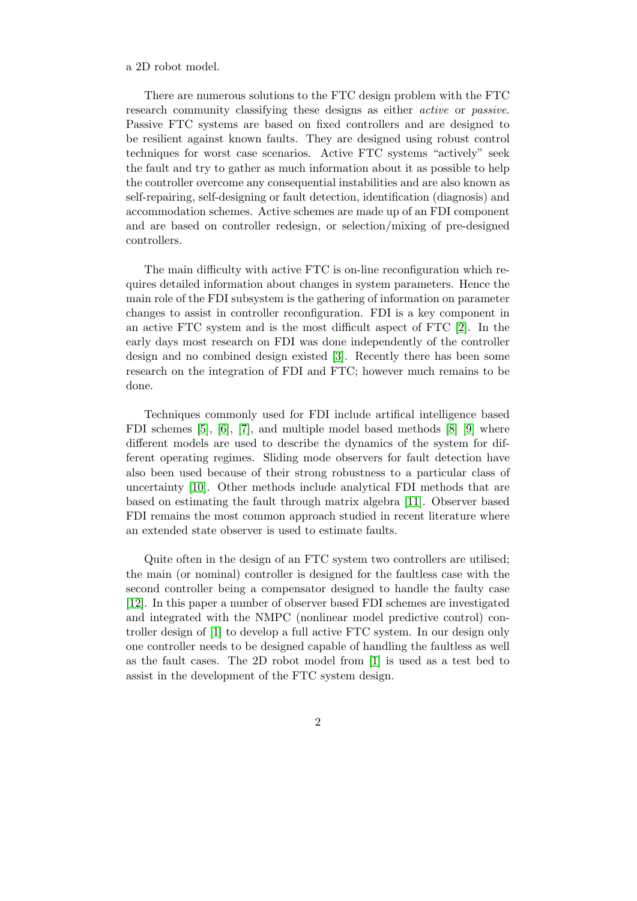#### a 2D robot model.

There are numerous solutions to the FTC design problem with the FTC research community classifying these designs as either active or passive. Passive FTC systems are based on fixed controllers and are designed to be resilient against known faults. They are designed using robust control techniques for worst case scenarios. Active FTC systems "actively" seek the fault and try to gather as much information about it as possible to help the controller overcome any consequential instabilities and are also known as self-repairing, self-designing or fault detection, identification (diagnosis) and accommodation schemes. Active schemes are made up of an FDI component and are based on controller redesign, or selection/mixing of pre-designed controllers.

The main difficulty with active FTC is on-line reconfiguration which requires detailed information about changes in system parameters. Hence the main role of the FDI subsystem is the gathering of information on parameter changes to assist in controller reconfiguration. FDI is a key component in an active FTC system and is the most difficult aspect of FTC [\[2\]](#page-25-1). In the early days most research on FDI was done independently of the controller design and no combined design existed [\[3\]](#page-25-2). Recently there has been some research on the integration of FDI and FTC; however much remains to be done.

Techniques commonly used for FDI include artifical intelligence based FDI schemes [\[5\]](#page-25-3), [\[6\]](#page-25-4), [\[7\]](#page-26-1), and multiple model based methods [\[8\]](#page-26-2) [\[9\]](#page-26-0) where different models are used to describe the dynamics of the system for different operating regimes. Sliding mode observers for fault detection have also been used because of their strong robustness to a particular class of uncertainty [\[10\]](#page-26-3). Other methods include analytical FDI methods that are based on estimating the fault through matrix algebra [\[11\]](#page-26-4). Observer based FDI remains the most common approach studied in recent literature where an extended state observer is used to estimate faults.

Quite often in the design of an FTC system two controllers are utilised; the main (or nominal) controller is designed for the faultless case with the second controller being a compensator designed to handle the faulty case [\[12\]](#page-26-5). In this paper a number of observer based FDI schemes are investigated and integrated with the NMPC (nonlinear model predictive control) controller design of [\[1\]](#page-25-5) to develop a full active FTC system. In our design only one controller needs to be designed capable of handling the faultless as well as the fault cases. The 2D robot model from [\[1\]](#page-25-5) is used as a test bed to assist in the development of the FTC system design.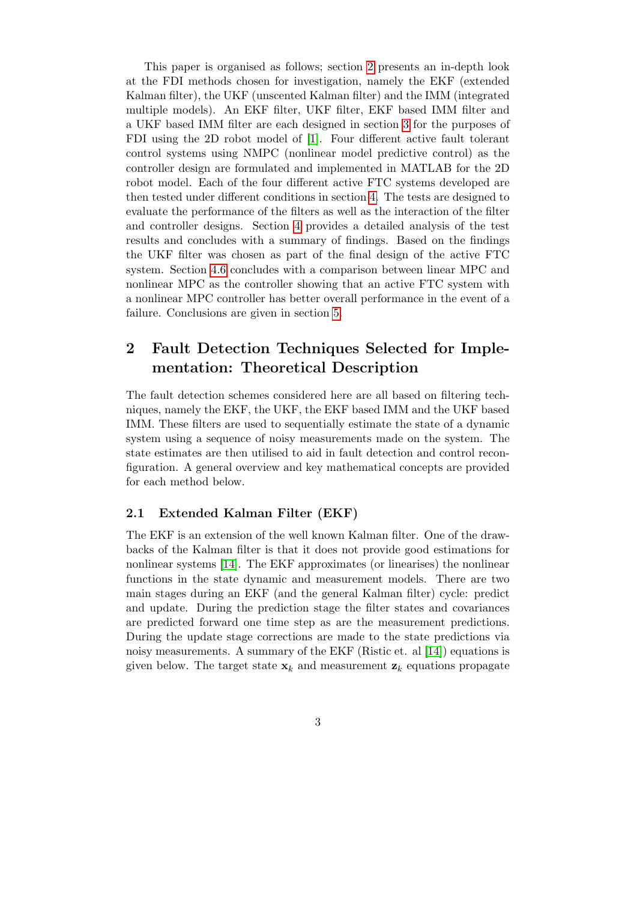This paper is organised as follows; section [2](#page-2-0) presents an in-depth look at the FDI methods chosen for investigation, namely the EKF (extended Kalman filter), the UKF (unscented Kalman filter) and the IMM (integrated multiple models). An EKF filter, UKF filter, EKF based IMM filter and a UKF based IMM filter are each designed in section [3](#page-7-0) for the purposes of FDI using the 2D robot model of [\[1\]](#page-25-5). Four different active fault tolerant control systems using NMPC (nonlinear model predictive control) as the controller design are formulated and implemented in MATLAB for the 2D robot model. Each of the four different active FTC systems developed are then tested under different conditions in section [4.](#page-10-0) The tests are designed to evaluate the performance of the filters as well as the interaction of the filter and controller designs. Section [4](#page-10-0) provides a detailed analysis of the test results and concludes with a summary of findings. Based on the findings the UKF filter was chosen as part of the final design of the active FTC system. Section [4.6](#page-21-0) concludes with a comparison between linear MPC and nonlinear MPC as the controller showing that an active FTC system with a nonlinear MPC controller has better overall performance in the event of a failure. Conclusions are given in section [5.](#page-25-6)

## <span id="page-2-0"></span>2 Fault Detection Techniques Selected for Implementation: Theoretical Description

The fault detection schemes considered here are all based on filtering techniques, namely the EKF, the UKF, the EKF based IMM and the UKF based IMM. These filters are used to sequentially estimate the state of a dynamic system using a sequence of noisy measurements made on the system. The state estimates are then utilised to aid in fault detection and control reconfiguration. A general overview and key mathematical concepts are provided for each method below.

## <span id="page-2-1"></span>2.1 Extended Kalman Filter (EKF)

The EKF is an extension of the well known Kalman filter. One of the drawbacks of the Kalman filter is that it does not provide good estimations for nonlinear systems [\[14\]](#page-26-6). The EKF approximates (or linearises) the nonlinear functions in the state dynamic and measurement models. There are two main stages during an EKF (and the general Kalman filter) cycle: predict and update. During the prediction stage the filter states and covariances are predicted forward one time step as are the measurement predictions. During the update stage corrections are made to the state predictions via noisy measurements. A summary of the EKF (Ristic et. al [\[14\]](#page-26-6)) equations is given below. The target state  $x_k$  and measurement  $z_k$  equations propagate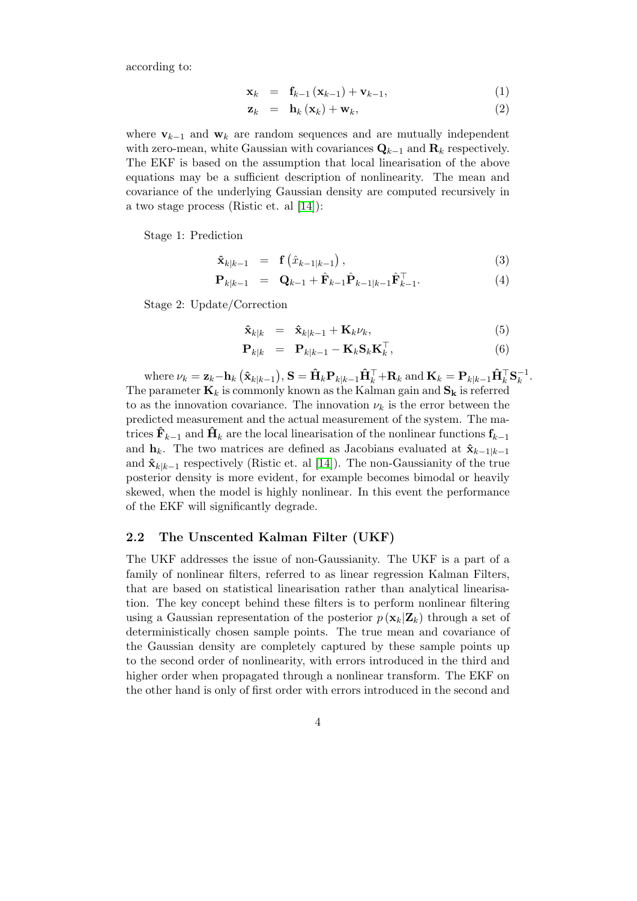according to:

$$
\mathbf{x}_{k} = \mathbf{f}_{k-1} \left( \mathbf{x}_{k-1} \right) + \mathbf{v}_{k-1}, \tag{1}
$$

$$
\mathbf{z}_k = \mathbf{h}_k(\mathbf{x}_k) + \mathbf{w}_k, \tag{2}
$$

where  $\mathbf{v}_{k-1}$  and  $\mathbf{w}_k$  are random sequences and are mutually independent with zero-mean, white Gaussian with covariances  $\mathbf{Q}_{k-1}$  and  $\mathbf{R}_k$  respectively. The EKF is based on the assumption that local linearisation of the above equations may be a sufficient description of nonlinearity. The mean and covariance of the underlying Gaussian density are computed recursively in a two stage process (Ristic et. al [\[14\]](#page-26-6)):

Stage 1: Prediction

$$
\hat{\mathbf{x}}_{k|k-1} = \mathbf{f}\left(\hat{x}_{k-1|k-1}\right),\tag{3}
$$

$$
\mathbf{P}_{k|k-1} = \mathbf{Q}_{k-1} + \hat{\mathbf{F}}_{k-1} \hat{\mathbf{P}}_{k-1|k-1} \hat{\mathbf{F}}_{k-1}^{\top}.
$$
 (4)

Stage 2: Update/Correction

$$
\hat{\mathbf{x}}_{k|k} = \hat{\mathbf{x}}_{k|k-1} + \mathbf{K}_k \nu_k, \tag{5}
$$

$$
\mathbf{P}_{k|k} = \mathbf{P}_{k|k-1} - \mathbf{K}_k \mathbf{S}_k \mathbf{K}_k^{\top},
$$
 (6)

where  $\nu_k = \mathbf{z}_k - \mathbf{h}_k \left( \hat{\mathbf{x}}_{k|k-1} \right), \mathbf{S} = \hat{\mathbf{H}}_k \mathbf{P}_{k|k-1} \hat{\mathbf{H}}_k^{\top} + \mathbf{R}_k \text{ and } \mathbf{K}_k = \mathbf{P}_{k|k-1} \hat{\mathbf{H}}_k^{\top} \mathbf{S}_k^{-1}$  $\overline{k}^1$ . The parameter  $\mathbf{K}_k$  is commonly known as the Kalman gain and  $\mathbf{S}_k$  is referred to as the innovation covariance. The innovation  $\nu_k$  is the error between the predicted measurement and the actual measurement of the system. The matrices  $\mathbf{F}_{k-1}$  and  $\mathbf{H}_k$  are the local linearisation of the nonlinear functions  $\mathbf{f}_{k-1}$ and  $h_k$ . The two matrices are defined as Jacobians evaluated at  $\hat{\mathbf{x}}_{k-1|k-1}$ and  $\hat{\mathbf{x}}_{k|k-1}$  respectively (Ristic et. al [\[14\]](#page-26-6)). The non-Gaussianity of the true posterior density is more evident, for example becomes bimodal or heavily skewed, when the model is highly nonlinear. In this event the performance of the EKF will significantly degrade.

#### <span id="page-3-0"></span>2.2 The Unscented Kalman Filter (UKF)

The UKF addresses the issue of non-Gaussianity. The UKF is a part of a family of nonlinear filters, referred to as linear regression Kalman Filters, that are based on statistical linearisation rather than analytical linearisation. The key concept behind these filters is to perform nonlinear filtering using a Gaussian representation of the posterior  $p(\mathbf{x}_k|\mathbf{Z}_k)$  through a set of deterministically chosen sample points. The true mean and covariance of the Gaussian density are completely captured by these sample points up to the second order of nonlinearity, with errors introduced in the third and higher order when propagated through a nonlinear transform. The EKF on the other hand is only of first order with errors introduced in the second and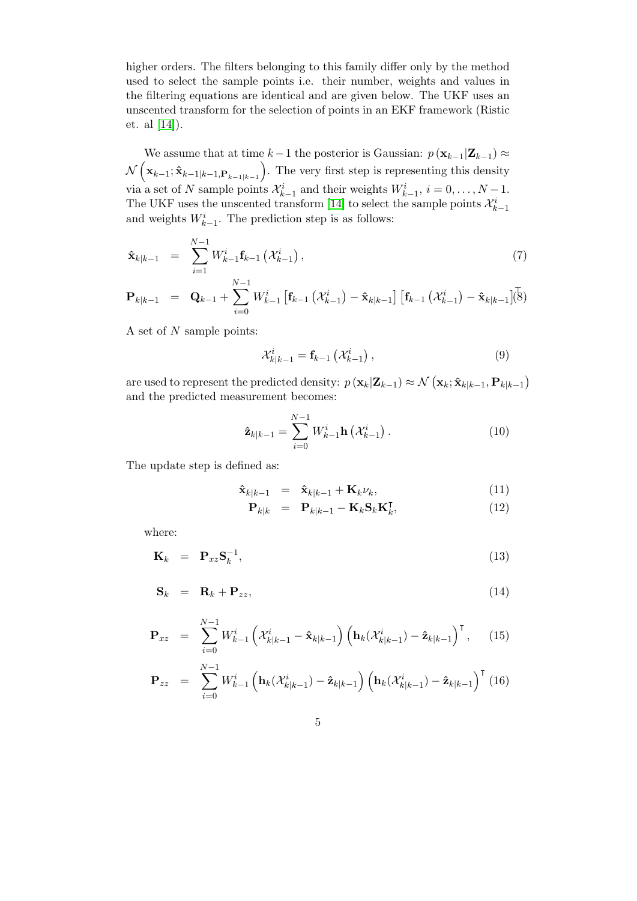higher orders. The filters belonging to this family differ only by the method used to select the sample points i.e. their number, weights and values in the filtering equations are identical and are given below. The UKF uses an unscented transform for the selection of points in an EKF framework (Ristic et. al [\[14\]](#page-26-6)).

We assume that at time  $k-1$  the posterior is Gaussian:  $p(\mathbf{x}_{k-1}|\mathbf{Z}_{k-1}) \approx$  $\mathcal{N}\left(\mathbf{x}_{k-1};\mathbf{\hat{x}}_{k-1|k-1,\mathbf{P}_{k-1|k-1}}\right)$ . The very first step is representing this density via a set of N sample points  $\mathcal{X}_{k-1}^i$  and their weights  $W_{k-1}^i$ ,  $i = 0, \ldots, N-1$ . The UKF uses the unscented transform [\[14\]](#page-26-6) to select the sample points  $\mathcal{X}^i_{k-1}$ and weights  $W_{k-1}^i$ . The prediction step is as follows:

$$
\hat{\mathbf{x}}_{k|k-1} = \sum_{i=1}^{N-1} W_{k-1}^i \mathbf{f}_{k-1} (\mathcal{X}_{k-1}^i), \qquad (7)
$$

$$
\mathbf{P}_{k|k-1} = \mathbf{Q}_{k-1} + \sum_{i=0}^{N-1} W_{k-1}^i \left[ \mathbf{f}_{k-1} \left( \mathcal{X}_{k-1}^i \right) - \hat{\mathbf{x}}_{k|k-1} \right] \left[ \mathbf{f}_{k-1} \left( \mathcal{X}_{k-1}^i \right) - \hat{\mathbf{x}}_{k|k-1} \right] \right] \tag{8}
$$

A set of N sample points:

$$
\mathcal{X}_{k|k-1}^i = \mathbf{f}_{k-1} \left( \mathcal{X}_{k-1}^i \right),\tag{9}
$$

are used to represent the predicted density:  $p(\mathbf{x}_k|\mathbf{Z}_{k-1}) \approx \mathcal{N}(\mathbf{x}_k; \hat{\mathbf{x}}_{k|k-1}, \mathbf{P}_{k|k-1})$ and the predicted measurement becomes:

$$
\hat{\mathbf{z}}_{k|k-1} = \sum_{i=0}^{N-1} W_{k-1}^i \mathbf{h}\left(\mathcal{X}_{k-1}^i\right). \tag{10}
$$

The update step is defined as:

$$
\hat{\mathbf{x}}_{k|k-1} = \hat{\mathbf{x}}_{k|k-1} + \mathbf{K}_k \nu_k, \tag{11}
$$

$$
\mathbf{P}_{k|k} = \mathbf{P}_{k|k-1} - \mathbf{K}_k \mathbf{S}_k \mathbf{K}_k^{\mathsf{T}}, \tag{12}
$$

where:

$$
\mathbf{K}_k = \mathbf{P}_{xz} \mathbf{S}_k^{-1}, \tag{13}
$$

$$
\mathbf{S}_k = \mathbf{R}_k + \mathbf{P}_{zz},\tag{14}
$$

$$
\mathbf{P}_{xz} = \sum_{i=0}^{N-1} W_{k-1}^i \left( \mathcal{X}_{k|k-1}^i - \hat{\mathbf{x}}_{k|k-1} \right) \left( \mathbf{h}_k (\mathcal{X}_{k|k-1}^i) - \hat{\mathbf{z}}_{k|k-1} \right)^{\mathsf{T}}, \qquad (15)
$$

$$
\mathbf{P}_{zz} = \sum_{i=0}^{N-1} W_{k-1}^i \left( \mathbf{h}_k(\mathcal{X}_{k|k-1}^i) - \mathbf{\hat{z}}_{k|k-1} \right) \left( \mathbf{h}_k(\mathcal{X}_{k|k-1}^i) - \mathbf{\hat{z}}_{k|k-1} \right)^{\mathsf{T}} (16)
$$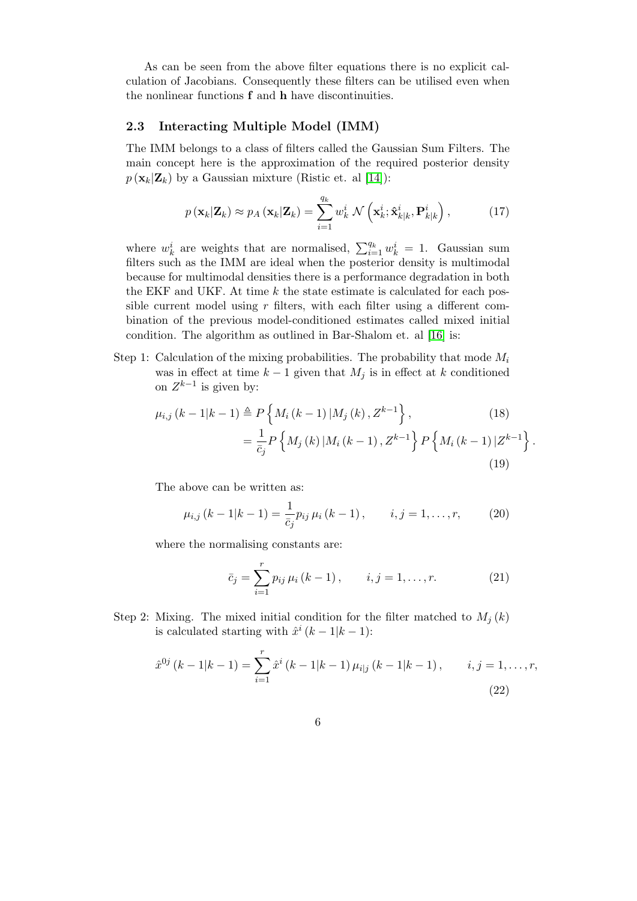As can be seen from the above filter equations there is no explicit calculation of Jacobians. Consequently these filters can be utilised even when the nonlinear functions f and h have discontinuities.

## <span id="page-5-0"></span>2.3 Interacting Multiple Model (IMM)

The IMM belongs to a class of filters called the Gaussian Sum Filters. The main concept here is the approximation of the required posterior density  $p(\mathbf{x}_k|\mathbf{Z}_k)$  by a Gaussian mixture (Ristic et. al [\[14\]](#page-26-6)):

$$
p(\mathbf{x}_k|\mathbf{Z}_k) \approx p_A(\mathbf{x}_k|\mathbf{Z}_k) = \sum_{i=1}^{q_k} w_k^i \mathcal{N}\left(\mathbf{x}_k^i; \hat{\mathbf{x}}_{k|k}^i, \mathbf{P}_{k|k}^i\right),\tag{17}
$$

where  $w_k^i$  are weights that are normalised,  $\sum_{i=1}^{q_k} w_k^i = 1$ . Gaussian sum filters such as the IMM are ideal when the posterior density is multimodal because for multimodal densities there is a performance degradation in both the EKF and UKF. At time  $k$  the state estimate is calculated for each possible current model using  $r$  filters, with each filter using a different combination of the previous model-conditioned estimates called mixed initial condition. The algorithm as outlined in Bar-Shalom et. al [\[16\]](#page-26-7) is:

Step 1: Calculation of the mixing probabilities. The probability that mode  $M_i$ was in effect at time  $k-1$  given that  $M_i$  is in effect at k conditioned on  $Z^{k-1}$  is given by:

$$
\mu_{i,j}(k-1|k-1) \triangleq P\left\{M_i(k-1)|M_j(k), Z^{k-1}\right\},\qquad(18)
$$

$$
= \frac{1}{\bar{c}_j} P\left\{M_j(k)|M_i(k-1), Z^{k-1}\right\} P\left\{M_i(k-1)|Z^{k-1}\right\}.
$$
(19)

The above can be written as:

$$
\mu_{i,j} (k-1|k-1) = \frac{1}{\bar{c}_j} p_{ij} \mu_i (k-1), \qquad i, j = 1, \dots, r,
$$
 (20)

where the normalising constants are:

$$
\bar{c}_{j} = \sum_{i=1}^{r} p_{ij} \,\mu_i \,(k-1) \,, \qquad i, j = 1, \dots, r. \tag{21}
$$

Step 2: Mixing. The mixed initial condition for the filter matched to  $M_j(k)$ is calculated starting with  $\hat{x}^i (k-1|k-1)$ :

$$
\hat{x}^{0j} (k-1|k-1) = \sum_{i=1}^{r} \hat{x}^{i} (k-1|k-1) \mu_{i|j} (k-1|k-1), \qquad i, j = 1, ..., r,
$$
\n(22)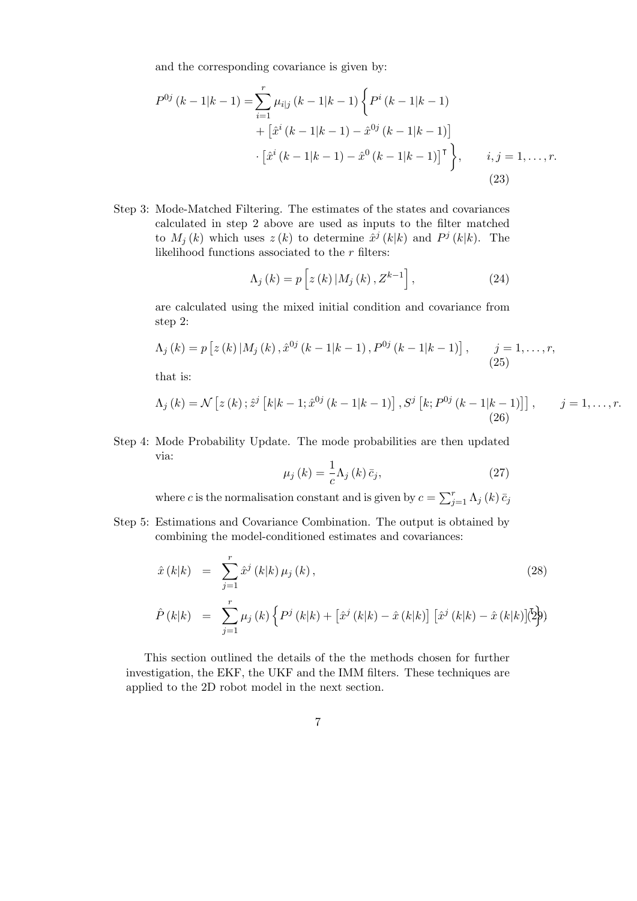and the corresponding covariance is given by:

$$
P^{0j}(k-1|k-1) = \sum_{i=1}^{r} \mu_{i|j}(k-1|k-1) \left\{ P^{i}(k-1|k-1) + \left[ \hat{x}^{i}(k-1|k-1) - \hat{x}^{0j}(k-1|k-1) \right] \right.\
$$

$$
\cdot \left[ \hat{x}^{i}(k-1|k-1) - \hat{x}^{0}(k-1|k-1) \right]^{T} \right\}, \qquad i, j = 1, \dots, r.
$$

$$
(23)
$$

Step 3: Mode-Matched Filtering. The estimates of the states and covariances calculated in step 2 above are used as inputs to the filter matched to  $M_j(k)$  which uses  $z(k)$  to determine  $\hat{x}^j(k|k)$  and  $P^j(k|k)$ . The likelihood functions associated to the  $r$  filters:

$$
\Lambda_{j}\left(k\right)=p\left[z\left(k\right)|M_{j}\left(k\right),Z^{k-1}\right],\tag{24}
$$

are calculated using the mixed initial condition and covariance from step 2:

$$
\Lambda_j (k) = p \left[ z (k) | M_j (k), \hat{x}^{0j} (k-1|k-1), P^{0j} (k-1|k-1) \right], \qquad j = 1, ..., r,
$$
\n(25)

that is:

$$
\Lambda_j (k) = \mathcal{N} \left[ z(k) \, ; \hat{z}^j \left[ k|k-1; \hat{x}^{0j} \left( k-1|k-1 \right) \right], S^j \left[ k; P^{0j} \left( k-1|k-1 \right) \right] \right], \qquad j = 1, \dots, r.
$$
\n(26)

Step 4: Mode Probability Update. The mode probabilities are then updated via:

$$
\mu_j(k) = \frac{1}{c} \Lambda_j(k) \bar{c}_j,
$$
\n(27)

where c is the normalisation constant and is given by  $c = \sum_{j=1}^{r} \Lambda_j (k) \bar{c}_j$ 

Step 5: Estimations and Covariance Combination. The output is obtained by combining the model-conditioned estimates and covariances:

$$
\hat{x}(k|k) = \sum_{j=1}^{r} \hat{x}^{j}(k|k) \mu_{j}(k),
$$
\n(28)  
\n
$$
\hat{P}(k|k) = \sum_{j=1}^{r} \mu_{j}(k) \left\{ P^{j}(k|k) + \left[ \hat{x}^{j}(k|k) - \hat{x}(k|k) \right] \left[ \hat{x}^{j}(k|k) - \hat{x}(k|k) \right] \right\}
$$
\n(29)

This section outlined the details of the the methods chosen for further investigation, the EKF, the UKF and the IMM filters. These techniques are applied to the 2D robot model in the next section.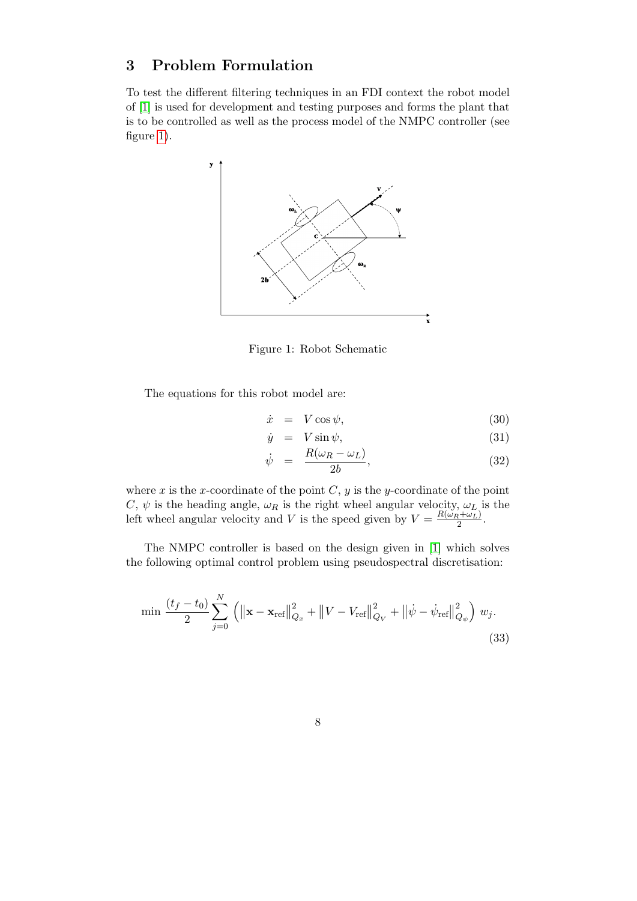## <span id="page-7-0"></span>3 Problem Formulation

<span id="page-7-1"></span>To test the different filtering techniques in an FDI context the robot model of [\[1\]](#page-25-5) is used for development and testing purposes and forms the plant that is to be controlled as well as the process model of the NMPC controller (see figure [1\)](#page-7-1).



Figure 1: Robot Schematic

The equations for this robot model are:

$$
\dot{x} = V \cos \psi,\tag{30}
$$

$$
\dot{y} = V \sin \psi,\tag{31}
$$

$$
\dot{\psi} = \frac{R(\omega_R - \omega_L)}{2b},\tag{32}
$$

where x is the x-coordinate of the point  $C, y$  is the y-coordinate of the point C,  $\psi$  is the heading angle,  $\omega_R$  is the right wheel angular velocity,  $\omega_L$  is the left wheel angular velocity and V is the speed given by  $V = \frac{R(\omega_R + \omega_L)}{2}$  $\frac{2+\omega_L)}{2}$ .

The NMPC controller is based on the design given in [\[1\]](#page-25-5) which solves the following optimal control problem using pseudospectral discretisation:

$$
\min \frac{(t_f - t_0)}{2} \sum_{j=0}^{N} \left( \left\| \mathbf{x} - \mathbf{x}_{\text{ref}} \right\|_{Q_x}^{2} + \left\| V - V_{\text{ref}} \right\|_{Q_V}^{2} + \left\| \dot{\psi} - \dot{\psi}_{\text{ref}} \right\|_{Q_{\psi}}^{2} \right) w_j. \tag{33}
$$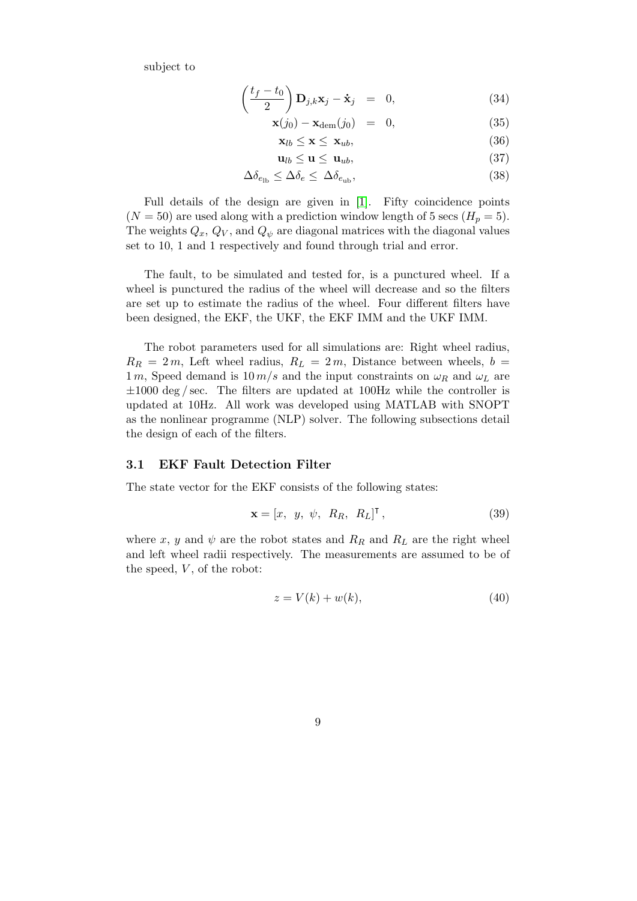subject to

$$
\left(\frac{t_f - t_0}{2}\right) \mathbf{D}_{j,k} \mathbf{x}_j - \dot{\mathbf{x}}_j = 0, \tag{34}
$$

$$
\mathbf{x}(j_0) - \mathbf{x}_{\text{dem}}(j_0) = 0, \tag{35}
$$

$$
\mathbf{x}_{lb} \le \mathbf{x} \le \mathbf{x}_{ub},\tag{36}
$$

$$
\mathbf{u}_{lb} \le \mathbf{u} \le \mathbf{u}_{ub},\tag{37}
$$

$$
\Delta \delta_{e_{\rm lb}} \le \Delta \delta_e \le \Delta \delta_{e_{\rm ub}},\tag{38}
$$

Full details of the design are given in [\[1\]](#page-25-5). Fifty coincidence points  $(N = 50)$  are used along with a prediction window length of 5 secs  $(H_p = 5)$ . The weights  $Q_x$ ,  $Q_V$ , and  $Q_{\psi}$  are diagonal matrices with the diagonal values set to 10, 1 and 1 respectively and found through trial and error.

The fault, to be simulated and tested for, is a punctured wheel. If a wheel is punctured the radius of the wheel will decrease and so the filters are set up to estimate the radius of the wheel. Four different filters have been designed, the EKF, the UKF, the EKF IMM and the UKF IMM.

The robot parameters used for all simulations are: Right wheel radius,  $R_R = 2m$ , Left wheel radius,  $R_L = 2m$ , Distance between wheels,  $b =$  $1 m$ , Speed demand is  $10 m/s$  and the input constraints on  $\omega_R$  and  $\omega_L$  are  $\pm 1000 \text{ deg/sec}$ . The filters are updated at 100Hz while the controller is updated at 10Hz. All work was developed using MATLAB with SNOPT as the nonlinear programme (NLP) solver. The following subsections detail the design of each of the filters.

#### <span id="page-8-1"></span>3.1 EKF Fault Detection Filter

The state vector for the EKF consists of the following states:

<span id="page-8-0"></span>
$$
\mathbf{x} = [x, y, \psi, R_R, R_L]^{\mathsf{T}}, \tag{39}
$$

where x, y and  $\psi$  are the robot states and  $R_R$  and  $R_L$  are the right wheel and left wheel radii respectively. The measurements are assumed to be of the speed,  $V$ , of the robot:

$$
z = V(k) + w(k),\tag{40}
$$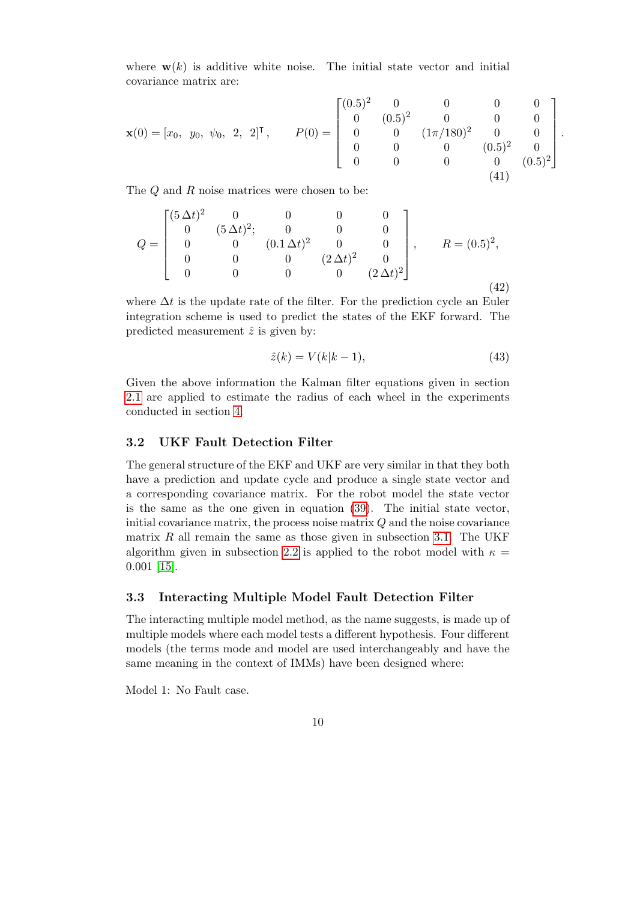where  $\mathbf{w}(k)$  is additive white noise. The initial state vector and initial covariance matrix are:

<span id="page-9-0"></span>
$$
\mathbf{x}(0) = \begin{bmatrix} x_0, & y_0, & \psi_0, & 2, & 2 \end{bmatrix}^\mathsf{T}, \qquad P(0) = \begin{bmatrix} (0.5)^2 & 0 & 0 & 0 & 0 \\ 0 & (0.5)^2 & 0 & 0 & 0 \\ 0 & 0 & (1\pi/180)^2 & 0 & 0 \\ 0 & 0 & 0 & (0.5)^2 & 0 \\ 0 & 0 & 0 & 0 & (0.5)^2 \end{bmatrix}.
$$
\n(41)

The Q and R noise matrices were chosen to be:

<span id="page-9-1"></span>
$$
Q = \begin{bmatrix} (5 \Delta t)^2 & 0 & 0 & 0 & 0 \\ 0 & (5 \Delta t)^2; & 0 & 0 & 0 \\ 0 & 0 & (0.1 \Delta t)^2 & 0 & 0 \\ 0 & 0 & 0 & (2 \Delta t)^2 & 0 \\ 0 & 0 & 0 & 0 & (2 \Delta t)^2 \end{bmatrix}, \quad R = (0.5)^2,
$$
\n(42)

where  $\Delta t$  is the update rate of the filter. For the prediction cycle an Euler integration scheme is used to predict the states of the EKF forward. The predicted measurement  $\hat{z}$  is given by:

$$
\hat{z}(k) = V(k|k-1),\tag{43}
$$

Given the above information the Kalman filter equations given in section [2.1](#page-2-1) are applied to estimate the radius of each wheel in the experiments conducted in section [4.](#page-10-0)

## 3.2 UKF Fault Detection Filter

The general structure of the EKF and UKF are very similar in that they both have a prediction and update cycle and produce a single state vector and a corresponding covariance matrix. For the robot model the state vector is the same as the one given in equation [\(39\)](#page-8-0). The initial state vector, initial covariance matrix, the process noise matrix  $Q$  and the noise covariance matrix  $R$  all remain the same as those given in subsection [3.1.](#page-8-1) The UKF algorithm given in subsection [2.2](#page-3-0) is applied to the robot model with  $\kappa =$ 0.001 [\[15\]](#page-26-8).

#### 3.3 Interacting Multiple Model Fault Detection Filter

The interacting multiple model method, as the name suggests, is made up of multiple models where each model tests a different hypothesis. Four different models (the terms mode and model are used interchangeably and have the same meaning in the context of IMMs) have been designed where:

Model 1: No Fault case.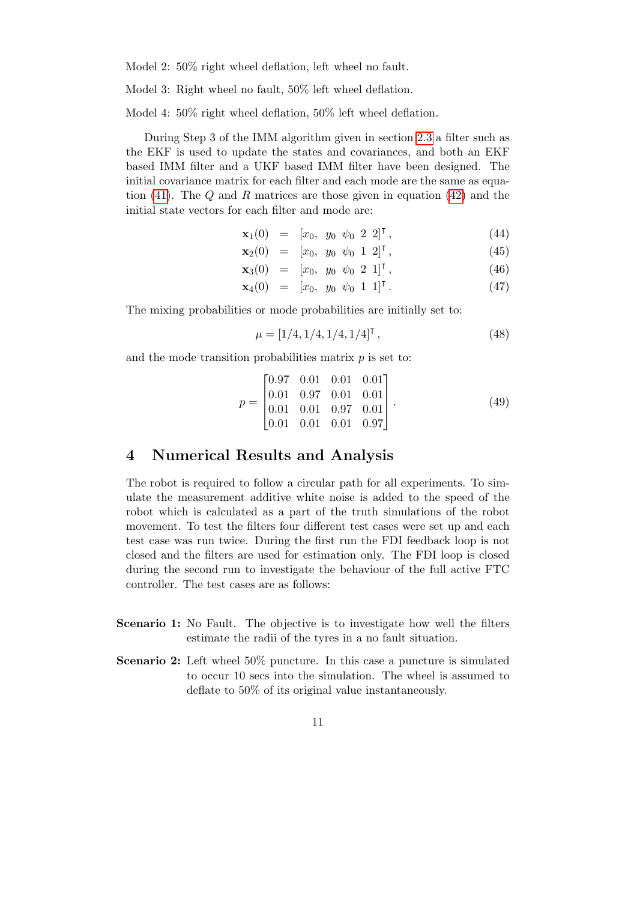Model 2: 50% right wheel deflation, left wheel no fault.

Model 3: Right wheel no fault, 50% left wheel deflation.

Model 4: 50% right wheel deflation, 50% left wheel deflation.

During Step 3 of the IMM algorithm given in section [2.3](#page-5-0) a filter such as the EKF is used to update the states and covariances, and both an EKF based IMM filter and a UKF based IMM filter have been designed. The initial covariance matrix for each filter and each mode are the same as equation  $(41)$ . The Q and R matrices are those given in equation  $(42)$  and the initial state vectors for each filter and mode are:

$$
\mathbf{x}_1(0) = [x_0, y_0 \; \psi_0 \; 2 \; 2]^\mathsf{T}, \tag{44}
$$

$$
\mathbf{x}_2(0) = [x_0, y_0 \psi_0 \ 1 \ 2]^\mathsf{T}, \tag{45}
$$

$$
\mathbf{x}_3(0) = [x_0, y_0 \psi_0 \ 2 \ 1]^\mathsf{T}, \tag{46}
$$

$$
\mathbf{x}_4(0) = [x_0, y_0 \; \psi_0 \; 1 \; 1]^\mathsf{T} \,. \tag{47}
$$

The mixing probabilities or mode probabilities are initially set to:

$$
\mu = [1/4, 1/4, 1/4, 1/4]^\mathsf{T},\tag{48}
$$

and the mode transition probabilities matrix  $p$  is set to:

$$
p = \begin{bmatrix} 0.97 & 0.01 & 0.01 & 0.01 \\ 0.01 & 0.97 & 0.01 & 0.01 \\ 0.01 & 0.01 & 0.97 & 0.01 \\ 0.01 & 0.01 & 0.01 & 0.97 \end{bmatrix} . \tag{49}
$$

## <span id="page-10-0"></span>4 Numerical Results and Analysis

The robot is required to follow a circular path for all experiments. To simulate the measurement additive white noise is added to the speed of the robot which is calculated as a part of the truth simulations of the robot movement. To test the filters four different test cases were set up and each test case was run twice. During the first run the FDI feedback loop is not closed and the filters are used for estimation only. The FDI loop is closed during the second run to investigate the behaviour of the full active FTC controller. The test cases are as follows:

- Scenario 1: No Fault. The objective is to investigate how well the filters estimate the radii of the tyres in a no fault situation.
- Scenario 2: Left wheel 50% puncture. In this case a puncture is simulated to occur 10 secs into the simulation. The wheel is assumed to deflate to 50% of its original value instantaneously.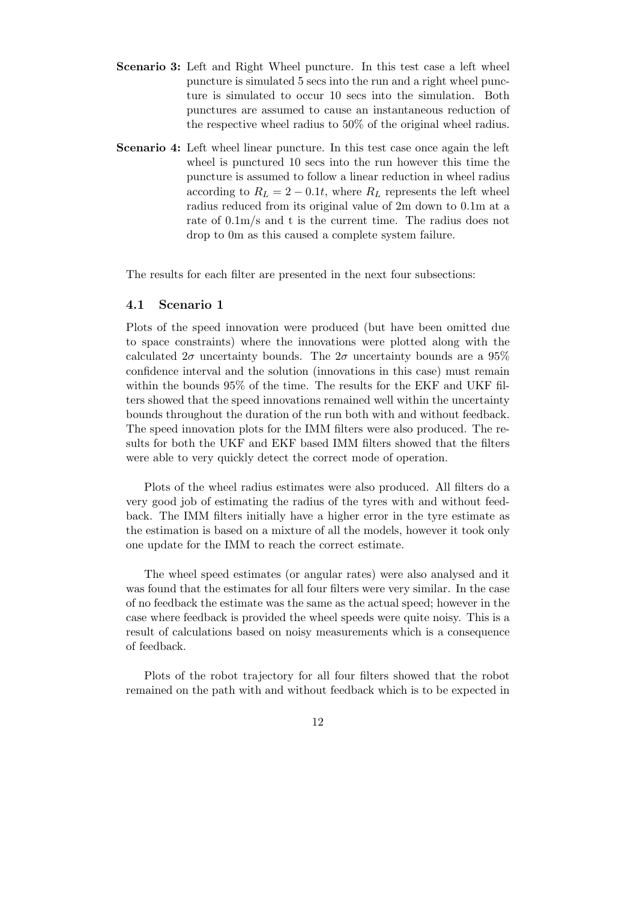- Scenario 3: Left and Right Wheel puncture. In this test case a left wheel puncture is simulated 5 secs into the run and a right wheel puncture is simulated to occur 10 secs into the simulation. Both punctures are assumed to cause an instantaneous reduction of the respective wheel radius to 50% of the original wheel radius.
- Scenario 4: Left wheel linear puncture. In this test case once again the left wheel is punctured 10 secs into the run however this time the puncture is assumed to follow a linear reduction in wheel radius according to  $R_L = 2 - 0.1t$ , where  $R_L$  represents the left wheel radius reduced from its original value of 2m down to 0.1m at a rate of 0.1m/s and t is the current time. The radius does not drop to 0m as this caused a complete system failure.

The results for each filter are presented in the next four subsections:

#### 4.1 Scenario 1

Plots of the speed innovation were produced (but have been omitted due to space constraints) where the innovations were plotted along with the calculated  $2\sigma$  uncertainty bounds. The  $2\sigma$  uncertainty bounds are a  $95\%$ confidence interval and the solution (innovations in this case) must remain within the bounds 95% of the time. The results for the EKF and UKF filters showed that the speed innovations remained well within the uncertainty bounds throughout the duration of the run both with and without feedback. The speed innovation plots for the IMM filters were also produced. The results for both the UKF and EKF based IMM filters showed that the filters were able to very quickly detect the correct mode of operation.

Plots of the wheel radius estimates were also produced. All filters do a very good job of estimating the radius of the tyres with and without feedback. The IMM filters initially have a higher error in the tyre estimate as the estimation is based on a mixture of all the models, however it took only one update for the IMM to reach the correct estimate.

The wheel speed estimates (or angular rates) were also analysed and it was found that the estimates for all four filters were very similar. In the case of no feedback the estimate was the same as the actual speed; however in the case where feedback is provided the wheel speeds were quite noisy. This is a result of calculations based on noisy measurements which is a consequence of feedback.

Plots of the robot trajectory for all four filters showed that the robot remained on the path with and without feedback which is to be expected in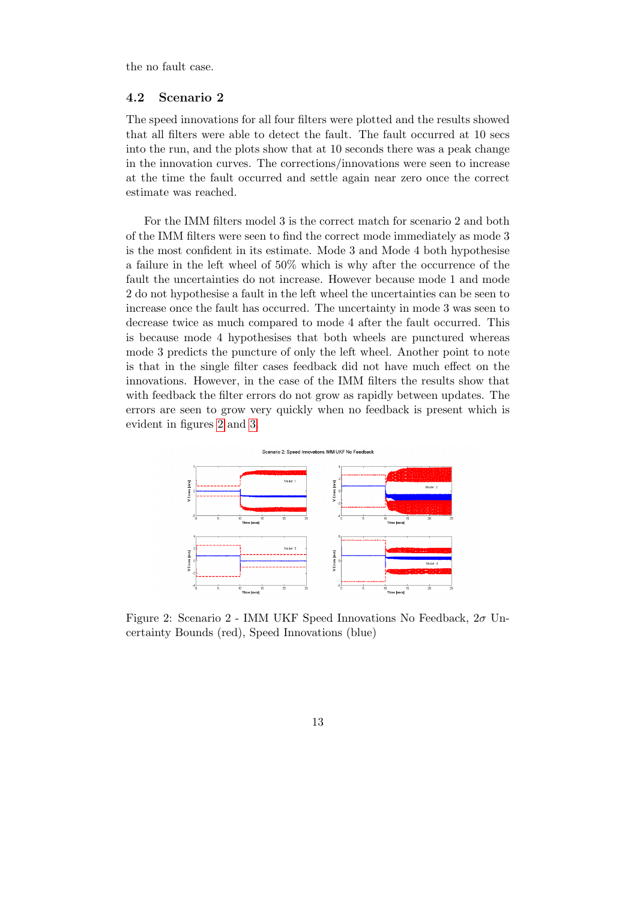the no fault case.

#### 4.2 Scenario 2

The speed innovations for all four filters were plotted and the results showed that all filters were able to detect the fault. The fault occurred at 10 secs into the run, and the plots show that at 10 seconds there was a peak change in the innovation curves. The corrections/innovations were seen to increase at the time the fault occurred and settle again near zero once the correct estimate was reached.

For the IMM filters model 3 is the correct match for scenario 2 and both of the IMM filters were seen to find the correct mode immediately as mode 3 is the most confident in its estimate. Mode 3 and Mode 4 both hypothesise a failure in the left wheel of 50% which is why after the occurrence of the fault the uncertainties do not increase. However because mode 1 and mode 2 do not hypothesise a fault in the left wheel the uncertainties can be seen to increase once the fault has occurred. The uncertainty in mode 3 was seen to decrease twice as much compared to mode 4 after the fault occurred. This is because mode 4 hypothesises that both wheels are punctured whereas mode 3 predicts the puncture of only the left wheel. Another point to note is that in the single filter cases feedback did not have much effect on the innovations. However, in the case of the IMM filters the results show that with feedback the filter errors do not grow as rapidly between updates. The errors are seen to grow very quickly when no feedback is present which is evident in figures [2](#page-12-0) and [3.](#page-13-0)

<span id="page-12-0"></span>

Figure 2: Scenario 2 - IMM UKF Speed Innovations No Feedback,  $2\sigma$  Uncertainty Bounds (red), Speed Innovations (blue)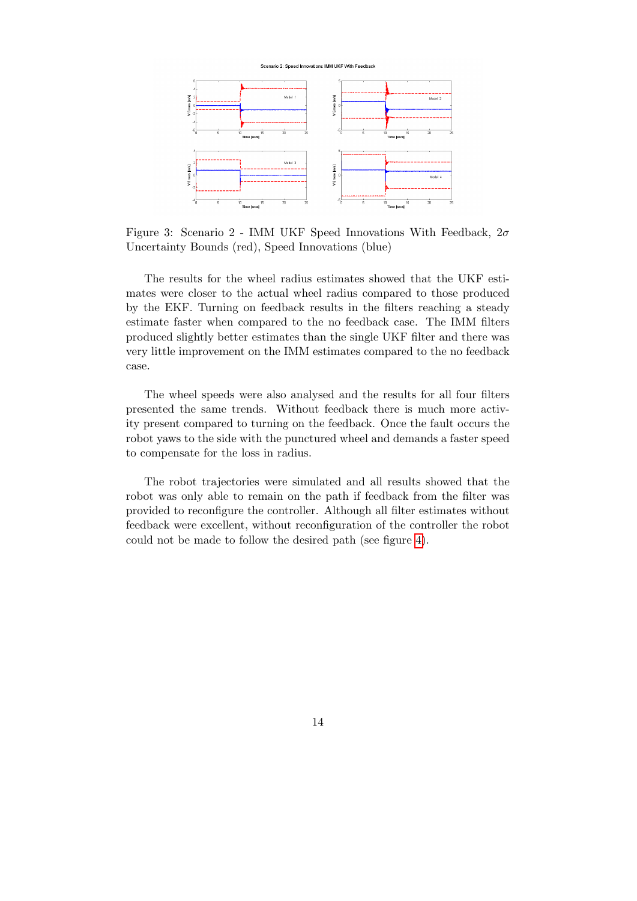

<span id="page-13-0"></span>

Figure 3: Scenario 2 - IMM UKF Speed Innovations With Feedback,  $2\sigma$ Uncertainty Bounds (red), Speed Innovations (blue)

The results for the wheel radius estimates showed that the UKF estimates were closer to the actual wheel radius compared to those produced by the EKF. Turning on feedback results in the filters reaching a steady estimate faster when compared to the no feedback case. The IMM filters produced slightly better estimates than the single UKF filter and there was very little improvement on the IMM estimates compared to the no feedback case.

The wheel speeds were also analysed and the results for all four filters presented the same trends. Without feedback there is much more activity present compared to turning on the feedback. Once the fault occurs the robot yaws to the side with the punctured wheel and demands a faster speed to compensate for the loss in radius.

The robot trajectories were simulated and all results showed that the robot was only able to remain on the path if feedback from the filter was provided to reconfigure the controller. Although all filter estimates without feedback were excellent, without reconfiguration of the controller the robot could not be made to follow the desired path (see figure [4\)](#page-14-0).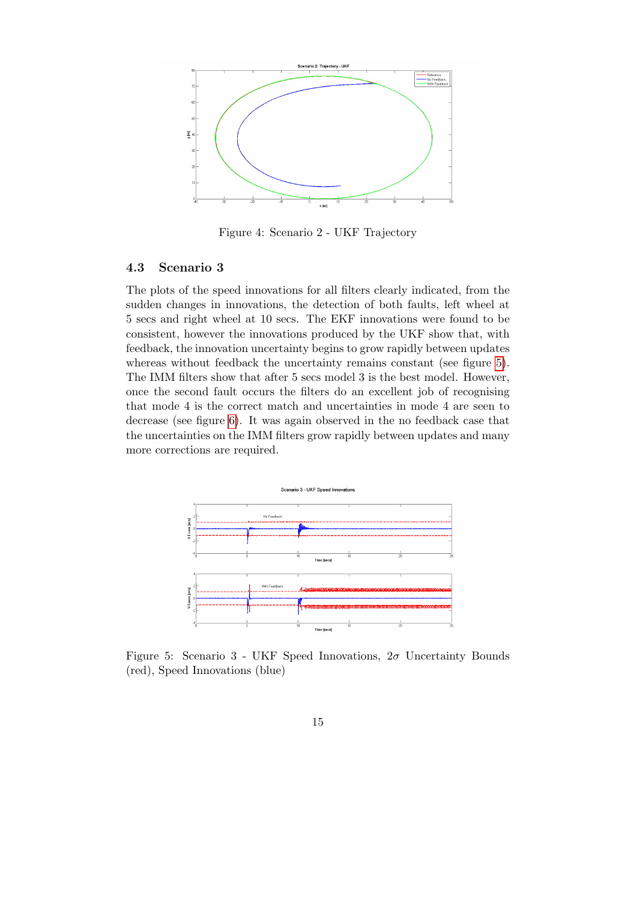<span id="page-14-0"></span>

Figure 4: Scenario 2 - UKF Trajectory

### 4.3 Scenario 3

The plots of the speed innovations for all filters clearly indicated, from the sudden changes in innovations, the detection of both faults, left wheel at 5 secs and right wheel at 10 secs. The EKF innovations were found to be consistent, however the innovations produced by the UKF show that, with feedback, the innovation uncertainty begins to grow rapidly between updates whereas without feedback the uncertainty remains constant (see figure [5\)](#page-14-1). The IMM filters show that after 5 secs model 3 is the best model. However, once the second fault occurs the filters do an excellent job of recognising that mode 4 is the correct match and uncertainties in mode 4 are seen to decrease (see figure [6\)](#page-15-0). It was again observed in the no feedback case that the uncertainties on the IMM filters grow rapidly between updates and many more corrections are required.

<span id="page-14-1"></span>

Figure 5: Scenario 3 - UKF Speed Innovations,  $2\sigma$  Uncertainty Bounds (red), Speed Innovations (blue)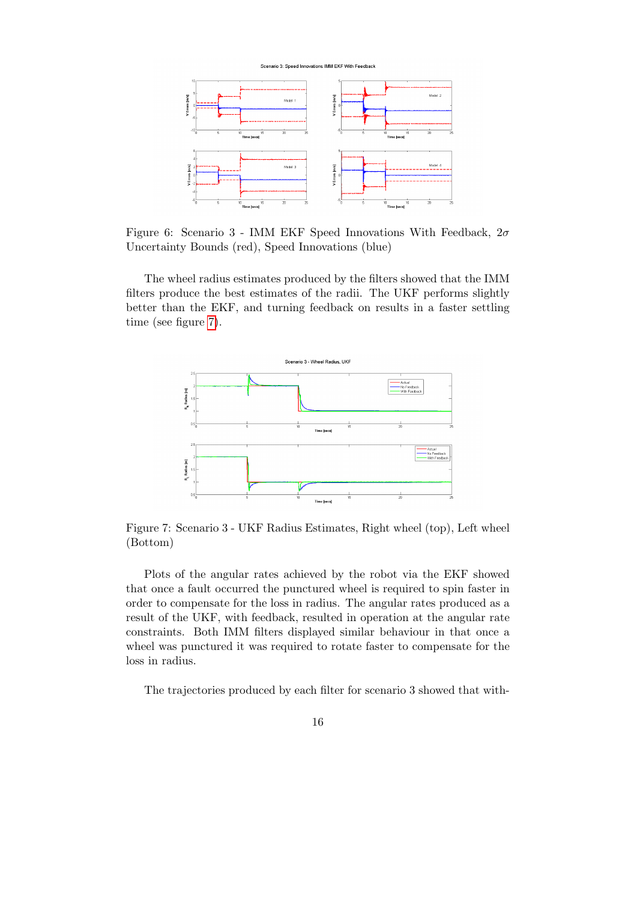Scenario 3: Speed Innovations IMM EKF With Feedback

<span id="page-15-0"></span>

Figure 6: Scenario 3 - IMM EKF Speed Innovations With Feedback,  $2\sigma$ Uncertainty Bounds (red), Speed Innovations (blue)

The wheel radius estimates produced by the filters showed that the IMM filters produce the best estimates of the radii. The UKF performs slightly better than the EKF, and turning feedback on results in a faster settling time (see figure [7\)](#page-15-1).

<span id="page-15-1"></span>

Figure 7: Scenario 3 - UKF Radius Estimates, Right wheel (top), Left wheel (Bottom)

Plots of the angular rates achieved by the robot via the EKF showed that once a fault occurred the punctured wheel is required to spin faster in order to compensate for the loss in radius. The angular rates produced as a result of the UKF, with feedback, resulted in operation at the angular rate constraints. Both IMM filters displayed similar behaviour in that once a wheel was punctured it was required to rotate faster to compensate for the loss in radius.

The trajectories produced by each filter for scenario 3 showed that with-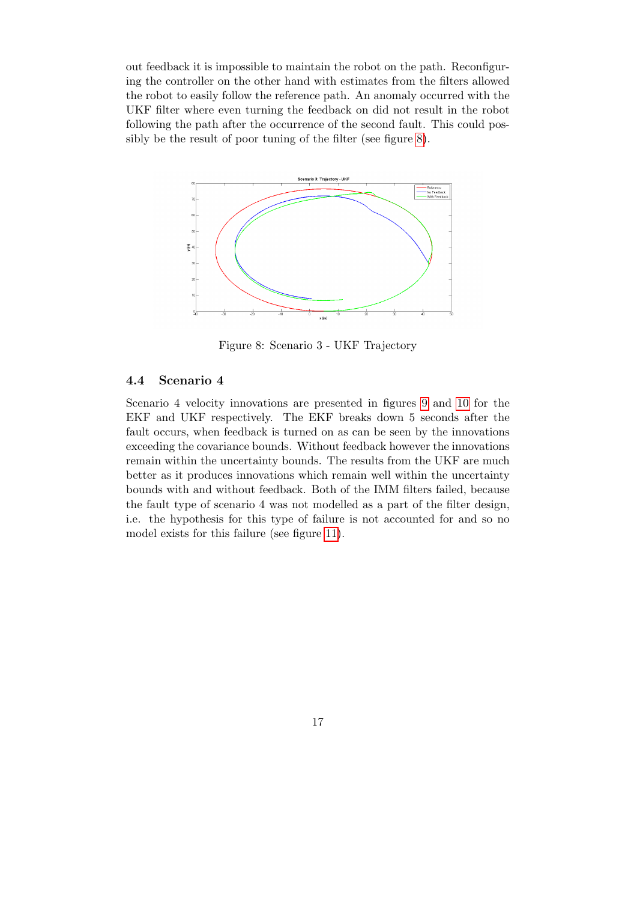out feedback it is impossible to maintain the robot on the path. Reconfiguring the controller on the other hand with estimates from the filters allowed the robot to easily follow the reference path. An anomaly occurred with the UKF filter where even turning the feedback on did not result in the robot following the path after the occurrence of the second fault. This could possibly be the result of poor tuning of the filter (see figure [8\)](#page-16-0).

<span id="page-16-0"></span>

Figure 8: Scenario 3 - UKF Trajectory

## 4.4 Scenario 4

Scenario 4 velocity innovations are presented in figures [9](#page-17-0) and [10](#page-17-1) for the EKF and UKF respectively. The EKF breaks down 5 seconds after the fault occurs, when feedback is turned on as can be seen by the innovations exceeding the covariance bounds. Without feedback however the innovations remain within the uncertainty bounds. The results from the UKF are much better as it produces innovations which remain well within the uncertainty bounds with and without feedback. Both of the IMM filters failed, because the fault type of scenario 4 was not modelled as a part of the filter design, i.e. the hypothesis for this type of failure is not accounted for and so no model exists for this failure (see figure [11\)](#page-17-2).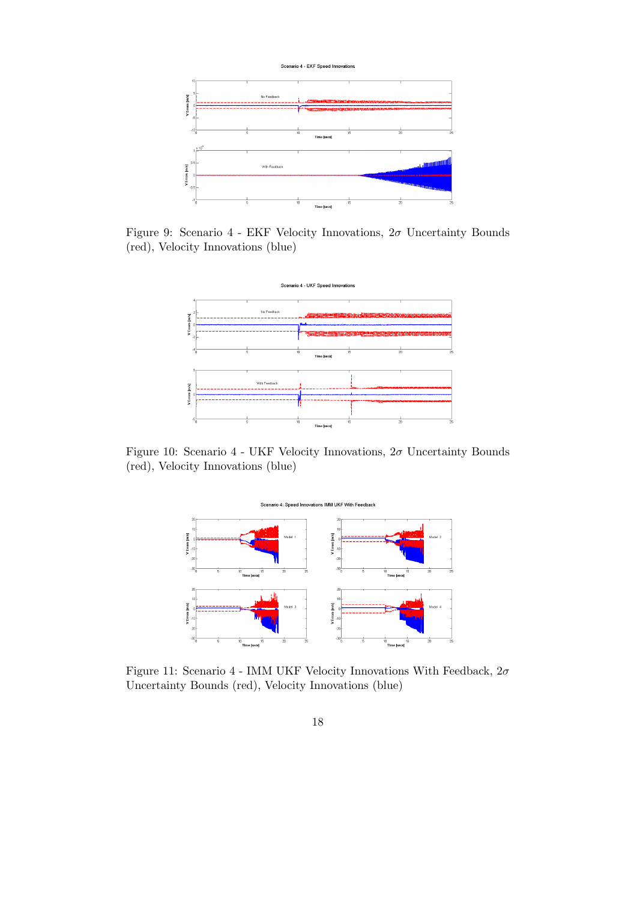<span id="page-17-0"></span>

<span id="page-17-1"></span>Figure 9: Scenario 4 - EKF Velocity Innovations,  $2\sigma$  Uncertainty Bounds (red), Velocity Innovations (blue)



<span id="page-17-2"></span>Figure 10: Scenario 4 - UKF Velocity Innovations,  $2\sigma$  Uncertainty Bounds (red), Velocity Innovations (blue)



Figure 11: Scenario 4 - IMM UKF Velocity Innovations With Feedback,  $2\sigma$ Uncertainty Bounds (red), Velocity Innovations (blue)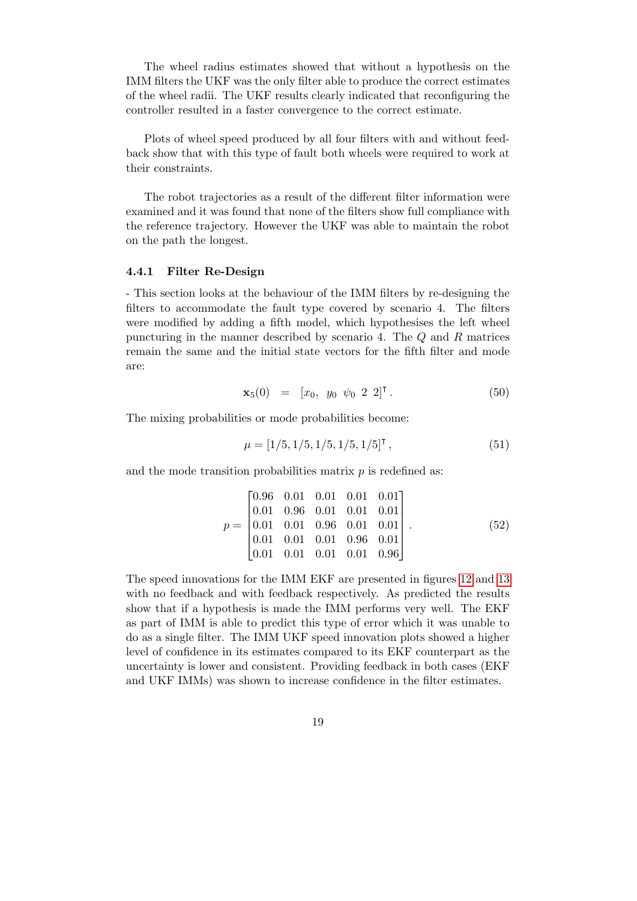The wheel radius estimates showed that without a hypothesis on the IMM filters the UKF was the only filter able to produce the correct estimates of the wheel radii. The UKF results clearly indicated that reconfiguring the controller resulted in a faster convergence to the correct estimate.

Plots of wheel speed produced by all four filters with and without feedback show that with this type of fault both wheels were required to work at their constraints.

The robot trajectories as a result of the different filter information were examined and it was found that none of the filters show full compliance with the reference trajectory. However the UKF was able to maintain the robot on the path the longest.

#### 4.4.1 Filter Re-Design

- This section looks at the behaviour of the IMM filters by re-designing the filters to accommodate the fault type covered by scenario 4. The filters were modified by adding a fifth model, which hypothesises the left wheel puncturing in the manner described by scenario 4. The Q and R matrices remain the same and the initial state vectors for the fifth filter and mode are:

$$
\mathbf{x}_5(0) = [x_0, y_0 \psi_0 2 2]^\mathsf{T} . \tag{50}
$$

The mixing probabilities or mode probabilities become:

$$
\mu = [1/5, 1/5, 1/5, 1/5, 1/5]^{\mathsf{T}}, \tag{51}
$$

and the mode transition probabilities matrix  $p$  is redefined as:

$$
p = \begin{bmatrix} 0.96 & 0.01 & 0.01 & 0.01 & 0.01 \\ 0.01 & 0.96 & 0.01 & 0.01 & 0.01 \\ 0.01 & 0.01 & 0.96 & 0.01 & 0.01 \\ 0.01 & 0.01 & 0.01 & 0.96 & 0.01 \\ 0.01 & 0.01 & 0.01 & 0.01 & 0.96 \end{bmatrix}.
$$
 (52)

The speed innovations for the IMM EKF are presented in figures [12](#page-19-0) and [13](#page-19-1) with no feedback and with feedback respectively. As predicted the results show that if a hypothesis is made the IMM performs very well. The EKF as part of IMM is able to predict this type of error which it was unable to do as a single filter. The IMM UKF speed innovation plots showed a higher level of confidence in its estimates compared to its EKF counterpart as the uncertainty is lower and consistent. Providing feedback in both cases (EKF and UKF IMMs) was shown to increase confidence in the filter estimates.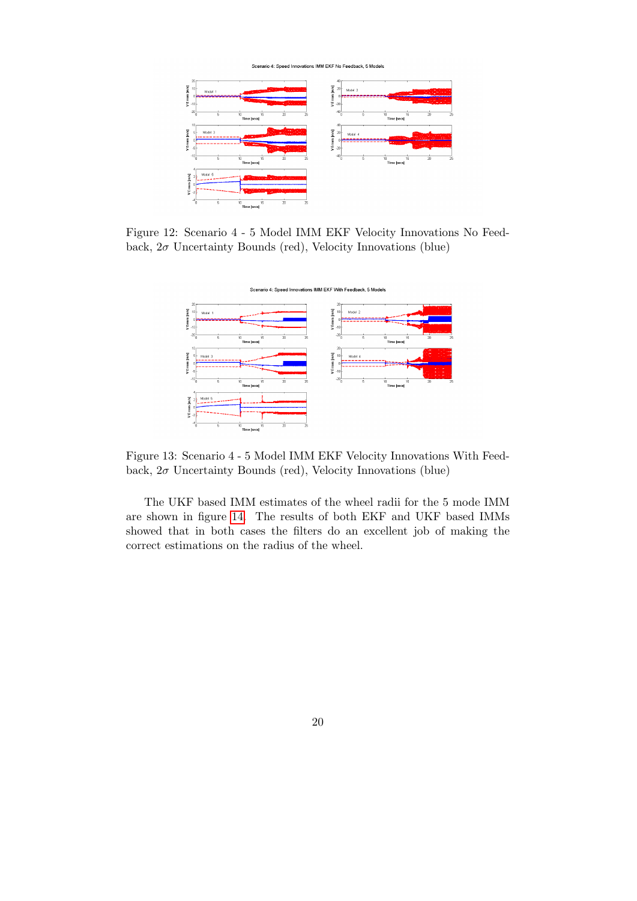Scenario 4: Speed Innovations IMM EKF No Feedback, 5 Models

<span id="page-19-0"></span>

<span id="page-19-1"></span>Figure 12: Scenario 4 - 5 Model IMM EKF Velocity Innovations No Feedback,  $2\sigma$  Uncertainty Bounds (red), Velocity Innovations (blue)



Figure 13: Scenario 4 - 5 Model IMM EKF Velocity Innovations With Feedback,  $2\sigma$  Uncertainty Bounds (red), Velocity Innovations (blue)

The UKF based IMM estimates of the wheel radii for the 5 mode IMM are shown in figure [14.](#page-20-0) The results of both EKF and UKF based IMMs showed that in both cases the filters do an excellent job of making the correct estimations on the radius of the wheel.

20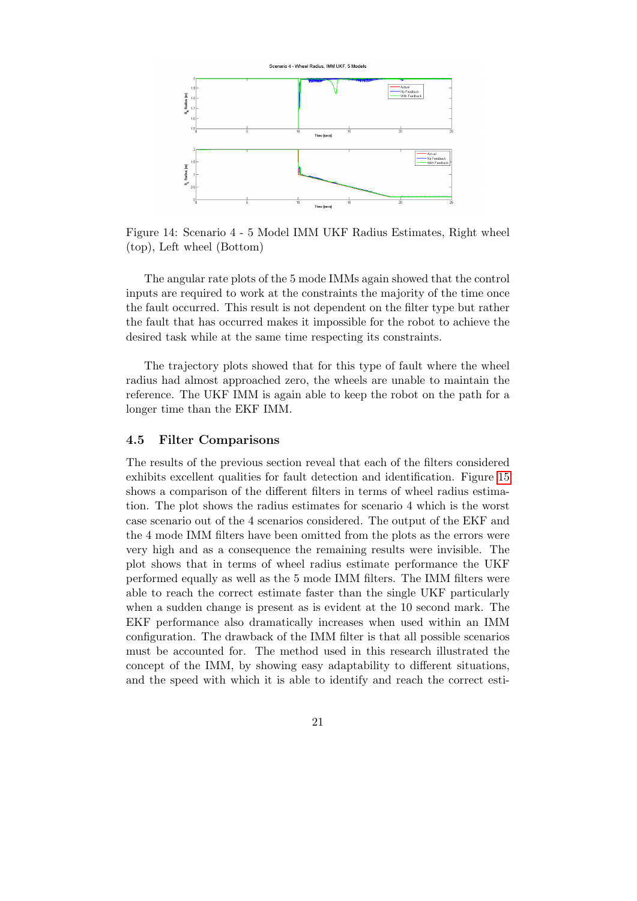<span id="page-20-0"></span>

Figure 14: Scenario 4 - 5 Model IMM UKF Radius Estimates, Right wheel (top), Left wheel (Bottom)

The angular rate plots of the 5 mode IMMs again showed that the control inputs are required to work at the constraints the majority of the time once the fault occurred. This result is not dependent on the filter type but rather the fault that has occurred makes it impossible for the robot to achieve the desired task while at the same time respecting its constraints.

The trajectory plots showed that for this type of fault where the wheel radius had almost approached zero, the wheels are unable to maintain the reference. The UKF IMM is again able to keep the robot on the path for a longer time than the EKF IMM.

#### <span id="page-20-1"></span>4.5 Filter Comparisons

The results of the previous section reveal that each of the filters considered exhibits excellent qualities for fault detection and identification. Figure [15](#page-21-1) shows a comparison of the different filters in terms of wheel radius estimation. The plot shows the radius estimates for scenario 4 which is the worst case scenario out of the 4 scenarios considered. The output of the EKF and the 4 mode IMM filters have been omitted from the plots as the errors were very high and as a consequence the remaining results were invisible. The plot shows that in terms of wheel radius estimate performance the UKF performed equally as well as the 5 mode IMM filters. The IMM filters were able to reach the correct estimate faster than the single UKF particularly when a sudden change is present as is evident at the 10 second mark. The EKF performance also dramatically increases when used within an IMM configuration. The drawback of the IMM filter is that all possible scenarios must be accounted for. The method used in this research illustrated the concept of the IMM, by showing easy adaptability to different situations, and the speed with which it is able to identify and reach the correct esti-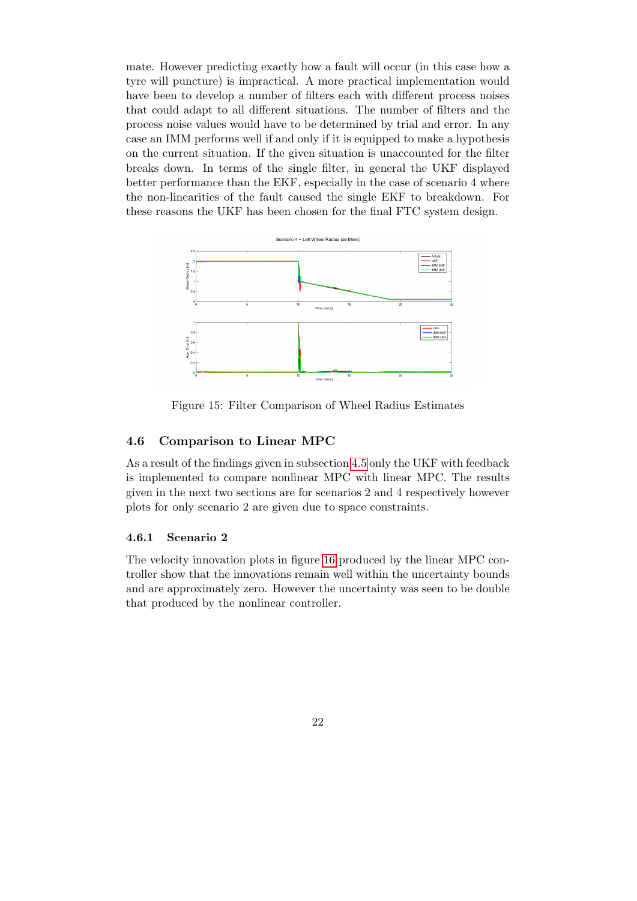mate. However predicting exactly how a fault will occur (in this case how a tyre will puncture) is impractical. A more practical implementation would have been to develop a number of filters each with different process noises that could adapt to all different situations. The number of filters and the process noise values would have to be determined by trial and error. In any case an IMM performs well if and only if it is equipped to make a hypothesis on the current situation. If the given situation is unaccounted for the filter breaks down. In terms of the single filter, in general the UKF displayed better performance than the EKF, especially in the case of scenario 4 where the non-linearities of the fault caused the single EKF to breakdown. For these reasons the UKF has been chosen for the final FTC system design.

<span id="page-21-1"></span>

Figure 15: Filter Comparison of Wheel Radius Estimates

### <span id="page-21-0"></span>4.6 Comparison to Linear MPC

As a result of the findings given in subsection [4.5](#page-20-1) only the UKF with feedback is implemented to compare nonlinear MPC with linear MPC. The results given in the next two sections are for scenarios 2 and 4 respectively however plots for only scenario 2 are given due to space constraints.

#### 4.6.1 Scenario 2

The velocity innovation plots in figure [16](#page-22-0) produced by the linear MPC controller show that the innovations remain well within the uncertainty bounds and are approximately zero. However the uncertainty was seen to be double that produced by the nonlinear controller.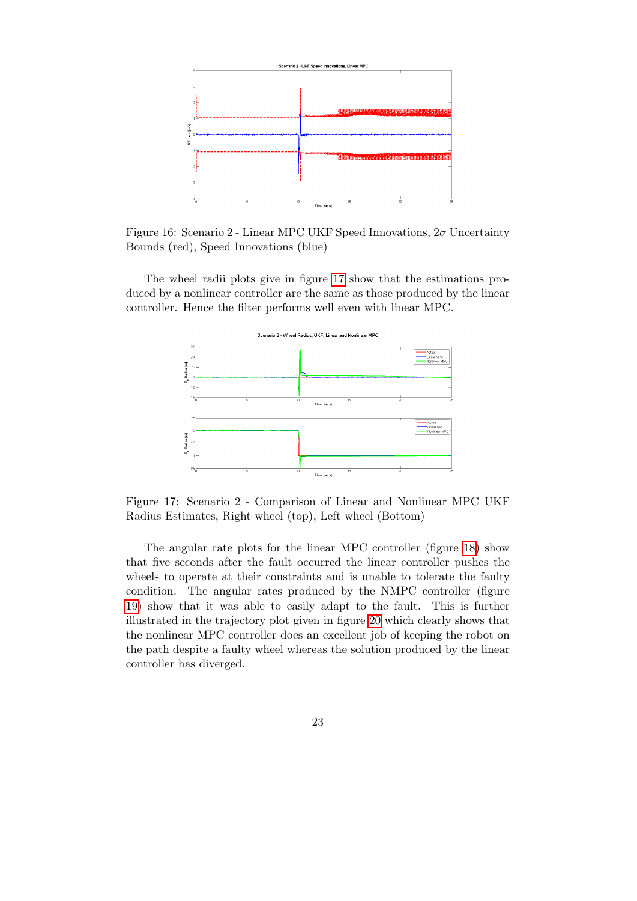<span id="page-22-0"></span>

Figure 16: Scenario 2 - Linear MPC UKF Speed Innovations,  $2\sigma$  Uncertainty Bounds (red), Speed Innovations (blue)

The wheel radii plots give in figure [17](#page-22-1) show that the estimations produced by a nonlinear controller are the same as those produced by the linear controller. Hence the filter performs well even with linear MPC.

<span id="page-22-1"></span>

Figure 17: Scenario 2 - Comparison of Linear and Nonlinear MPC UKF Radius Estimates, Right wheel (top), Left wheel (Bottom)

The angular rate plots for the linear MPC controller (figure [18\)](#page-23-0) show that five seconds after the fault occurred the linear controller pushes the wheels to operate at their constraints and is unable to tolerate the faulty condition. The angular rates produced by the NMPC controller (figure [19\)](#page-23-1) show that it was able to easily adapt to the fault. This is further illustrated in the trajectory plot given in figure [20](#page-24-0) which clearly shows that the nonlinear MPC controller does an excellent job of keeping the robot on the path despite a faulty wheel whereas the solution produced by the linear controller has diverged.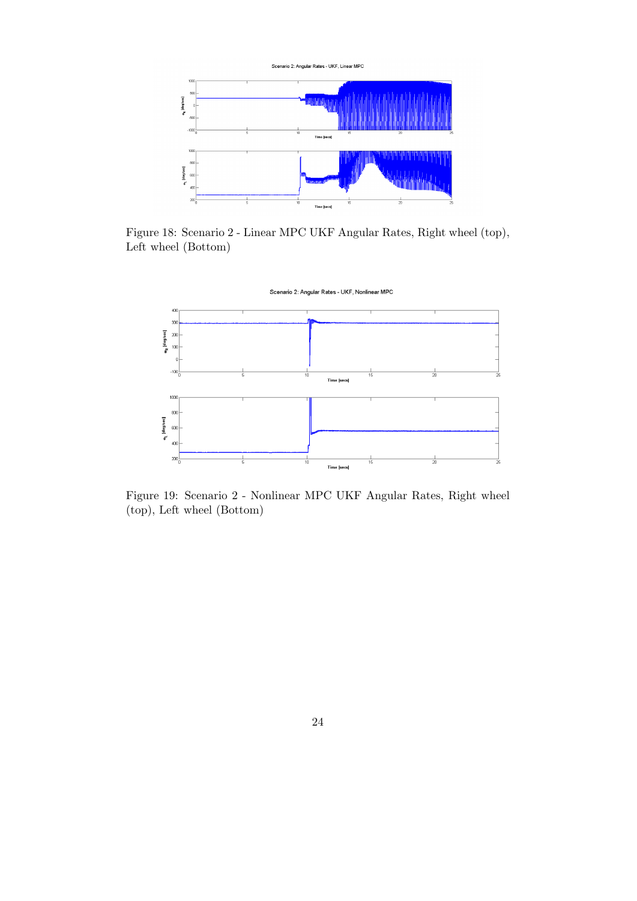<span id="page-23-0"></span>

Figure 18: Scenario 2 - Linear MPC UKF Angular Rates, Right wheel (top), Left wheel (Bottom)

<span id="page-23-1"></span>

Figure 19: Scenario 2 - Nonlinear MPC UKF Angular Rates, Right wheel (top), Left wheel (Bottom)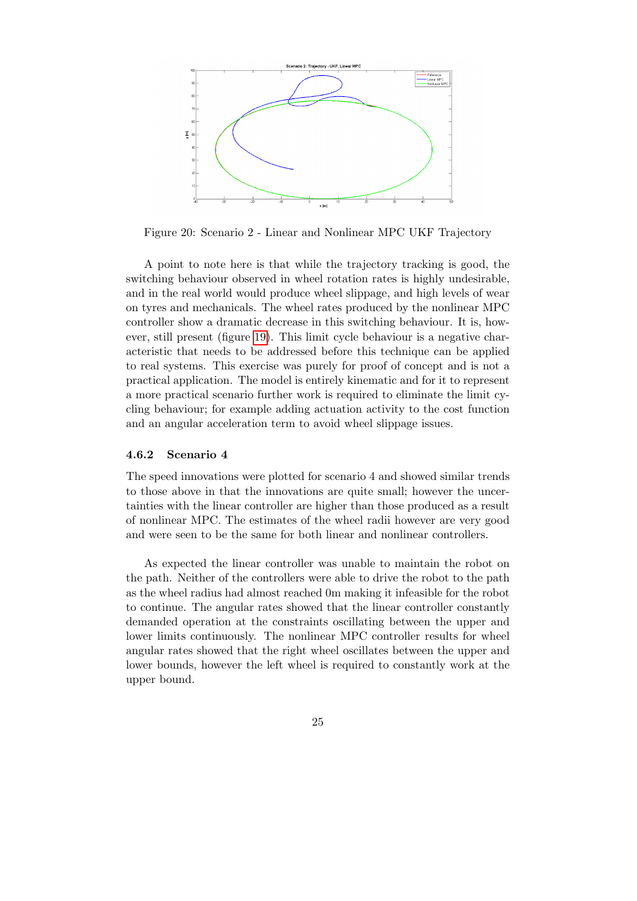<span id="page-24-0"></span>

Figure 20: Scenario 2 - Linear and Nonlinear MPC UKF Trajectory

A point to note here is that while the trajectory tracking is good, the switching behaviour observed in wheel rotation rates is highly undesirable, and in the real world would produce wheel slippage, and high levels of wear on tyres and mechanicals. The wheel rates produced by the nonlinear MPC controller show a dramatic decrease in this switching behaviour. It is, however, still present (figure [19\)](#page-23-1). This limit cycle behaviour is a negative characteristic that needs to be addressed before this technique can be applied to real systems. This exercise was purely for proof of concept and is not a practical application. The model is entirely kinematic and for it to represent a more practical scenario further work is required to eliminate the limit cycling behaviour; for example adding actuation activity to the cost function and an angular acceleration term to avoid wheel slippage issues.

#### 4.6.2 Scenario 4

The speed innovations were plotted for scenario 4 and showed similar trends to those above in that the innovations are quite small; however the uncertainties with the linear controller are higher than those produced as a result of nonlinear MPC. The estimates of the wheel radii however are very good and were seen to be the same for both linear and nonlinear controllers.

As expected the linear controller was unable to maintain the robot on the path. Neither of the controllers were able to drive the robot to the path as the wheel radius had almost reached 0m making it infeasible for the robot to continue. The angular rates showed that the linear controller constantly demanded operation at the constraints oscillating between the upper and lower limits continuously. The nonlinear MPC controller results for wheel angular rates showed that the right wheel oscillates between the upper and lower bounds, however the left wheel is required to constantly work at the upper bound.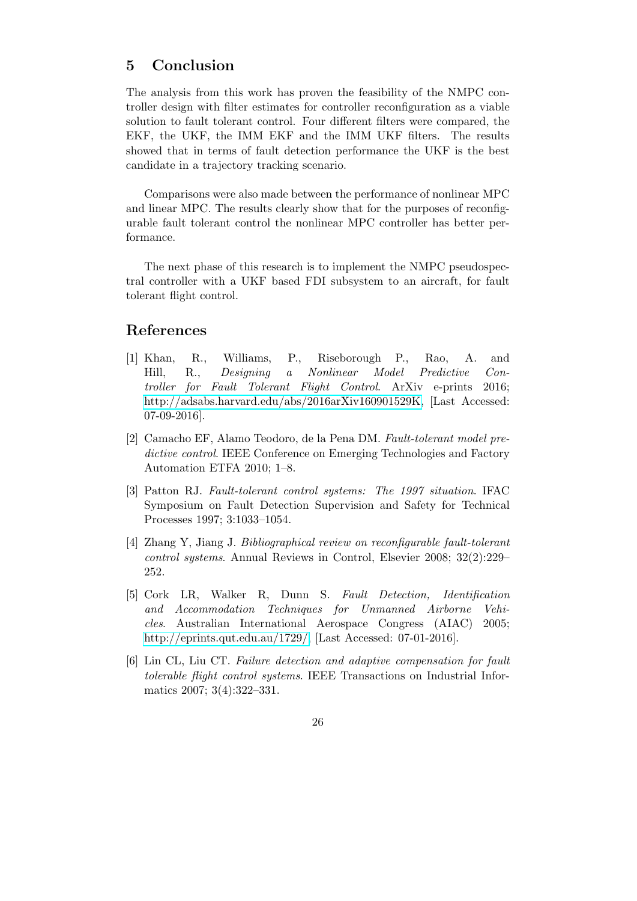## <span id="page-25-6"></span>5 Conclusion

The analysis from this work has proven the feasibility of the NMPC controller design with filter estimates for controller reconfiguration as a viable solution to fault tolerant control. Four different filters were compared, the EKF, the UKF, the IMM EKF and the IMM UKF filters. The results showed that in terms of fault detection performance the UKF is the best candidate in a trajectory tracking scenario.

Comparisons were also made between the performance of nonlinear MPC and linear MPC. The results clearly show that for the purposes of reconfigurable fault tolerant control the nonlinear MPC controller has better performance.

The next phase of this research is to implement the NMPC pseudospectral controller with a UKF based FDI subsystem to an aircraft, for fault tolerant flight control.

## References

- <span id="page-25-5"></span>[1] Khan, R., Williams, P., Riseborough P., Rao, A. and Hill, R., Designing a Nonlinear Model Predictive Controller for Fault Tolerant Flight Control. ArXiv e-prints 2016; [http://adsabs.harvard.edu/abs/2016arXiv160901529K,](http://adsabs.harvard.edu/abs/2016arXiv160901529K) [Last Accessed: 07-09-2016].
- <span id="page-25-1"></span>[2] Camacho EF, Alamo Teodoro, de la Pena DM. Fault-tolerant model predictive control. IEEE Conference on Emerging Technologies and Factory Automation ETFA 2010; 1–8.
- <span id="page-25-2"></span>[3] Patton RJ. Fault-tolerant control systems: The 1997 situation. IFAC Symposium on Fault Detection Supervision and Safety for Technical Processes 1997; 3:1033–1054.
- <span id="page-25-0"></span>[4] Zhang Y, Jiang J. Bibliographical review on reconfigurable fault-tolerant control systems. Annual Reviews in Control, Elsevier 2008; 32(2):229– 252.
- <span id="page-25-3"></span>[5] Cork LR, Walker R, Dunn S. Fault Detection, Identification and Accommodation Techniques for Unmanned Airborne Vehicles. Australian International Aerospace Congress (AIAC) 2005; [http://eprints.qut.edu.au/1729/,](http://eprints.qut.edu.au/1729/) [Last Accessed: 07-01-2016].
- <span id="page-25-4"></span>[6] Lin CL, Liu CT. Failure detection and adaptive compensation for fault tolerable flight control systems. IEEE Transactions on Industrial Informatics 2007; 3(4):322–331.
	- 26